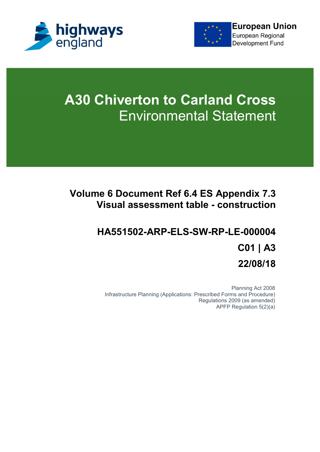



# **A30 Chiverton to Carland Cross** Environmental Statement

## **Volume 6 Document Ref 6.4 ES Appendix 7.3 Visual assessment table - construction**

## **HA551502-ARP-ELS-SW-RP-LE-000004 C01 | A3 22/08/18**

Planning Act 2008 Infrastructure Planning (Applications: Prescribed Forms and Procedure) Regulations 2009 (as amended) APFP Regulation 5(2)(a)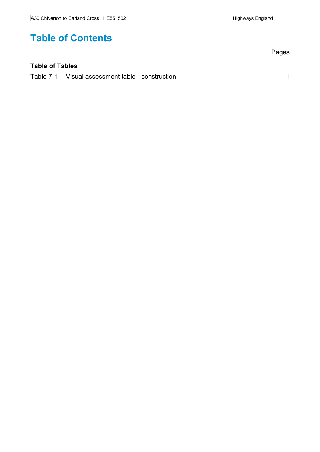## **Table of Contents**

#### **Table of Tables**

Table 7-1 Visual assessment table - construction i

Pages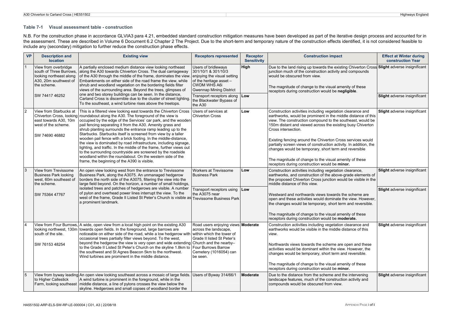#### **Table 7-1 Visual assessment table - construction**

N.B. For the construction phase in accordance GLVIA3 para 4.21, embedded standard construction mitigation measures have been developed as part of the iterative design process and accounted for in the assessment. These are described in Volume 6 Document 6.2 Chapter 2 The Project. Due to the short-term and temporary nature of the construction effects identified, it is not considered feasible to include any (secondary) mitigation to further reduce the construction phase effects.

|                | <b>VP</b><br><b>Description and</b><br><b>location</b>                                                               | <b>Existing view</b>                                                                                                                                                                                                                                                                                                                                                                                                                                                                                                                                                                                                                                                                                                                                                                     | <b>Receptors represented</b>                                                                                                                                  | <b>Receptor</b><br><b>Sensitivity</b> | <b>Construction impact</b>                                                                                                                                                                                                                                                                                                                                                                                                                                                                                                                                                            | <b>Effect at Winter during</b><br>construction Year |
|----------------|----------------------------------------------------------------------------------------------------------------------|------------------------------------------------------------------------------------------------------------------------------------------------------------------------------------------------------------------------------------------------------------------------------------------------------------------------------------------------------------------------------------------------------------------------------------------------------------------------------------------------------------------------------------------------------------------------------------------------------------------------------------------------------------------------------------------------------------------------------------------------------------------------------------------|---------------------------------------------------------------------------------------------------------------------------------------------------------------|---------------------------------------|---------------------------------------------------------------------------------------------------------------------------------------------------------------------------------------------------------------------------------------------------------------------------------------------------------------------------------------------------------------------------------------------------------------------------------------------------------------------------------------------------------------------------------------------------------------------------------------|-----------------------------------------------------|
|                | View from overbridge<br>south of Three Burrows.<br>looking northeast along<br>A30, 20m southwest of<br>the scheme.   | A partially enclosed medium distance view looking northeast<br>along the A30 towards Chiverton Cross. The dual carriageway<br>of the A30 through the middle of the frame, dominates the view.<br>Embankments on either side of the road frame the view, while<br>shrub and woodland vegetation on the bordering fields filter<br>views of the surrounding area. Beyond the trees, glimpses of<br>one and two storey buildings can be seen. In the distance,<br>Carland Cross is discernible due to the cluster of street lighting.<br>To the southeast, a wind turbine rises above the treetops.                                                                                                                                                                                         | Users of bridleways<br>301/10/1 & 301/10/3<br>enjoying the visual setting<br>of the heritage asset -<br><b>CWDM WHS A6i</b><br><b>Gwennap Mining District</b> | High                                  | Due to the land rising up towards the existing Chiverton Cross Slight adverse insignificant<br>junction much of the construction activity and compounds<br>would be obscured from view.<br>The magnitude of change to the visual amenity of these<br>receptors during construction would be negligible.                                                                                                                                                                                                                                                                               |                                                     |
|                | SW 74417 46252                                                                                                       |                                                                                                                                                                                                                                                                                                                                                                                                                                                                                                                                                                                                                                                                                                                                                                                          | Transport receptors along<br>the Blackwater Bypass of<br>the A30                                                                                              | Low                                   |                                                                                                                                                                                                                                                                                                                                                                                                                                                                                                                                                                                       | Slight adverse insignificant                        |
| $\overline{2}$ | View from Starbucks at<br>Chiverton Cross, looking<br>east towards A30, 10m<br>west of the scheme.<br>SW 74690 46882 | This is a filtered view looking east towards the Chiverton Cross<br>roundabout along the A30. The foreground of the view is<br>occupied by the edge of the Services' car park, and the wooden<br>pail fencing separating it from the A30. Amenity grass and<br>shrub planting surrounds the entrance ramp leading up to the<br>Starbucks. Starbucks itself is screened from view by a taller<br>wooden pail fence with a brick footing. In the middle-distance,<br>the view is dominated by road infrastructure, including signage,<br>lighting, and traffic. In the middle of the frame, further views out<br>to the surrounding countryside are screened by the roadside<br>woodland within the roundabout. On the western side of the<br>frame, the beginning of the A390 is visible. | Users of services at<br><b>Chiverton Cross</b>                                                                                                                | Low                                   | Construction activities including vegetation clearance and<br>earthworks, would be prominent in the middle distance of this<br>view. The construction compound to the southeast, would be<br>150m distant and viewed across the existing busy Chiverton<br>Cross intersection.<br>Existing fencing around the Chiverton Cross services would<br>partially screen views of construction activity. In addition, the<br>changes would be temporary, short term and reversible<br>The magnitude of change to the visual amenity of these<br>receptors during construction would be minor. | <b>Slight</b> adverse insignificant                 |
| 3              | View from Trevissome<br><b>Business Park looking</b><br>west, 60m southeast of<br>the scheme.                        | An open view looking west from the entrance to Trevissome<br>Business Park, along the A3075. An unmanaged hedgerow<br>borders the north side of the A3075, filtering the view into the<br>large field beyond. On the horizon, a number of small holdings,                                                                                                                                                                                                                                                                                                                                                                                                                                                                                                                                | <b>Workers at Trevissome</b><br><b>Business Park</b>                                                                                                          | Low                                   | Construction activities including vegetation clearance,<br>earthworks, and construction of the above-grade elements of<br>the proposed Chiverton Cross junction would be visible in the<br>middle distance of this view.                                                                                                                                                                                                                                                                                                                                                              | <b>Slight</b> adverse insignificant                 |
|                | SW 75364 47767                                                                                                       | isolated trees and patches of hedgerows are visible. A number<br>of pylon and overhead power lines interrupt the view. To the<br>west of the frame, Grade II Listed St Peter's Church is visible as Trevissome Business Park<br>a prominent landmark.                                                                                                                                                                                                                                                                                                                                                                                                                                                                                                                                    | Transport receptors using<br>the A3075 near                                                                                                                   | Low                                   | Westward and northwards views towards the scheme are<br>open and these activities would dominate the view. However,<br>the changes would be temporary, short term and reversible.<br>The magnitude of change to the visual amenity of these                                                                                                                                                                                                                                                                                                                                           | Slight adverse insignificant                        |
|                |                                                                                                                      |                                                                                                                                                                                                                                                                                                                                                                                                                                                                                                                                                                                                                                                                                                                                                                                          |                                                                                                                                                               |                                       | receptors during construction would be moderate.                                                                                                                                                                                                                                                                                                                                                                                                                                                                                                                                      |                                                     |
| $\overline{4}$ | looking northwest, 130m<br>south of the site.<br>SW 76153 48254                                                      | View from Four Burrows, A wide, open view from a local high point on the existing A30<br>towards open fields. In the foreground, large barrows are<br>noticeable on either side of the road, while a low hedgerow with within which the tower of<br>occasional trees partially filter views beyond. To the west,<br>beyond the hedgerow the view is very open and wide extending Church and the nearby-<br>to the Grade II Listed St Peter's Church on the skyline 1.8km to                                                                                                                                                                                                                                                                                                              | Road users enjoying views Moderate<br>across the landscape,<br>Grade II listed St Peter's<br>Four Burrows Barrow                                              |                                       | Construction activities including vegetation clearance and<br>earthworks would be visible in the middle distance of this<br>view.<br>Northwards views towards the scheme are open and these<br>activities would be dominant within the view. However, the                                                                                                                                                                                                                                                                                                                             | Slight adverse insignificant                        |
|                |                                                                                                                      | the southwest and St Agnes Beacon 5km to the northwest.<br>Wind turbines are prominent in the middle distance.                                                                                                                                                                                                                                                                                                                                                                                                                                                                                                                                                                                                                                                                           | Cemetery (1016054) can<br>be seen.                                                                                                                            |                                       | changes would be temporary, short term and reversible.<br>The magnitude of change to the visual amenity of these                                                                                                                                                                                                                                                                                                                                                                                                                                                                      |                                                     |
|                |                                                                                                                      |                                                                                                                                                                                                                                                                                                                                                                                                                                                                                                                                                                                                                                                                                                                                                                                          |                                                                                                                                                               |                                       | receptors during construction would be minor.                                                                                                                                                                                                                                                                                                                                                                                                                                                                                                                                         |                                                     |
| 5              | to Higher Callestick                                                                                                 | View from byway leading An open view looking southeast across a mosaic of large fields. Users of Byway 314/66/1<br>A wind turbine is prominent in the foreground, while in the<br>Farm, looking southeast   middle distance, a line of pylons crosses the view below the<br>skyline. Hedgerows and small copses of woodland border the                                                                                                                                                                                                                                                                                                                                                                                                                                                   |                                                                                                                                                               | <b>Moderate</b>                       | Due to the distance from the scheme and the intervening<br>landscape features, much of the construction activity and<br>compounds would be obscured from view.                                                                                                                                                                                                                                                                                                                                                                                                                        | Slight adverse insignificant                        |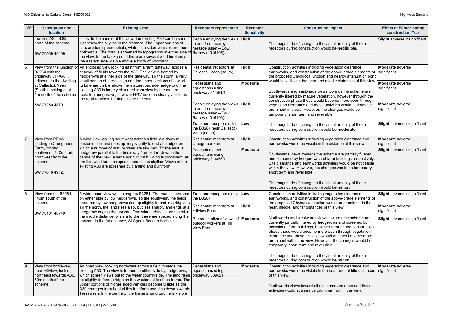| <b>VP</b>  | <b>Description and</b><br><b>location</b>                                                               | <b>Existing view</b>                                                                                                                                                                                                                                                                                                                                                                                                                                                   | <b>Receptors represented</b>                                                                         | <b>Receptor</b><br><b>Sensitivity</b> | <b>Construction impact</b>                                                                                                                                                                                                                                                                                                                                                                                                                                                                                              | <b>Effect at Winter during</b><br>construction Year |
|------------|---------------------------------------------------------------------------------------------------------|------------------------------------------------------------------------------------------------------------------------------------------------------------------------------------------------------------------------------------------------------------------------------------------------------------------------------------------------------------------------------------------------------------------------------------------------------------------------|------------------------------------------------------------------------------------------------------|---------------------------------------|-------------------------------------------------------------------------------------------------------------------------------------------------------------------------------------------------------------------------------------------------------------------------------------------------------------------------------------------------------------------------------------------------------------------------------------------------------------------------------------------------------------------------|-----------------------------------------------------|
|            | towards A30, 800m<br>north of the scheme.<br>SW 76589 49409                                             | fields. In the middle of the view, the existing A30 can be seen<br>just below the skyline in the distance. The upper portions of<br>cars are barely perceptible, while high sided vehicles are more<br>noticeable. The road is screened by topography at either side of Barrow (1016105).<br>the view. In the background there are several wind turbines on<br>the eastern side, visible above a block of woodland.                                                    | People enjoying the views<br>to and from nearby<br>heritage asset - Bowl                             | High                                  | The magnitude of change to the visual amenity of these<br>receptors during construction would be negligible.                                                                                                                                                                                                                                                                                                                                                                                                            | Slight adverse insignificant                        |
| 16         | View from the junction of<br>B3284 with the<br>bridleway 314/64/1,                                      | An enclosed view looking east from a farm gateway, across a<br>network of fields towards the A30. The view is framed by<br>hedgerows at either side of the gateway. To the south, a very                                                                                                                                                                                                                                                                               | Residential receptors at<br>Callestick Vean (south)                                                  | High                                  | Construction activities including vegetation clearance,<br>earthworks, and construction of the above-grade elements of<br>the proposed Chybucca junction and nearby attenuation pond                                                                                                                                                                                                                                                                                                                                    | <b>Moderate</b> adverse<br>significant              |
|            | at Callestick Vean<br>(South), looking east,<br>5m north of the scheme.                                 | adjacent to the dwelling<br>small portion of a road sign and the upper sections of a wind<br>turbine are visible above the mature roadside hedgerow. The<br>existing A30 is largely obscured from view by the mature<br>roadside hedgerows, however HGV become clearly visible as<br>the road reaches the ridgeline to the east.                                                                                                                                       | Pedestrians and<br>equestrians using<br>bridleway 314/64/1                                           | Moderate                              | would be visible in the near and middle distances of this view.<br>Southwards and eastwards views towards the scheme are<br>currently filtered by mature vegetation, however through the<br>construction phase these would become more open through                                                                                                                                                                                                                                                                     | Moderate adverse<br>significant                     |
|            | SW 77260 48791                                                                                          |                                                                                                                                                                                                                                                                                                                                                                                                                                                                        | People enjoying the views   High<br>to and from nearby<br>heritage asset - Bowl<br>Barrow (1016103). |                                       | vegetation clearance and these activities would at times be<br>prominent in views. However, the changes would be<br>temporary, short term and reversible.                                                                                                                                                                                                                                                                                                                                                               | Moderate adverse<br>significant                     |
|            |                                                                                                         |                                                                                                                                                                                                                                                                                                                                                                                                                                                                        | Transport receptors using<br>the B3284 near Callestick<br>Vean (south)                               | Low                                   | The magnitude of change to the visual amenity of these<br>receptors during construction would be moderate.                                                                                                                                                                                                                                                                                                                                                                                                              | Slight adverse insignificant                        |
| 17         | View from PRoW,<br>leading to Creegmeor                                                                 | A wide view looking southwest across a field laid down to<br>pasture. The land rises up very slightly to end at a ridge, on                                                                                                                                                                                                                                                                                                                                            | Residential receptors at<br>Creegmeor Farm                                                           | High                                  | Construction activities including vegetation clearance and<br>earthworks would be visible in the distance of this view.                                                                                                                                                                                                                                                                                                                                                                                                 | Moderate adverse<br>significant                     |
|            | Farm, looking<br>southwest, 210m north-<br>northwest from the<br>scheme.<br>SW 77818 49127              | which a number of mature trees are skylined. To the east, a<br>hedgerow parallel to the bridleway frames the view. In the<br>centre of the view, a large agricultural building is prominent, as<br>are five wind turbines spaced across the skyline. Views of the<br>existing A30 are screened by planting and built form.                                                                                                                                             | Pedestrians and<br>equestrians using<br>bridleway 314/65/1                                           | <b>Moderate</b>                       | Southwards views towards the scheme are partially filtered<br>and screened by hedgerows and farm buildings respectively.<br>Site clearance and earthworks activities would be noticeable<br>within the view. However, the changes would be temporary,<br>short term and reversible.<br>The magnitude of change to the visual amenity of these                                                                                                                                                                           | <b>Slight</b> adverse insignificant                 |
| 8          | View from the B3284,                                                                                    | A wide, open view west along the B3284. The road is bordered                                                                                                                                                                                                                                                                                                                                                                                                           | Transport receptors along Low                                                                        |                                       | receptors during construction would be minor.<br>Construction activities including vegetation clearance,                                                                                                                                                                                                                                                                                                                                                                                                                | Slight adverse insignificant                        |
|            | 140m south of the<br>scheme.                                                                            | on either side by low hedgerows. To the southwest, the fields<br>bordered by low hedgerows rise up slightly to end in a ridgeline.<br>To the north, the land rises also, but less sharply and ends at a<br>hedgerow edging the horizon. One wind turbine is prominent in                                                                                                                                                                                               | the B3284                                                                                            |                                       | earthworks, and construction of the above-grade elements of<br>the proposed Chybucca junction would be prominent in the<br>near, middle, and far distances of this view.                                                                                                                                                                                                                                                                                                                                                |                                                     |
|            | SW 78161 48749                                                                                          |                                                                                                                                                                                                                                                                                                                                                                                                                                                                        | Residential receptors at<br><b>Hillview Farm</b>                                                     | High                                  |                                                                                                                                                                                                                                                                                                                                                                                                                                                                                                                         | Moderate adverse<br>significant                     |
|            |                                                                                                         | the middle distance, while a further three are spaced along the<br>horizon. In the far distance, St Agnes Beacon is visible.                                                                                                                                                                                                                                                                                                                                           | Representative of views of <b>Moderate</b><br>outdoor workers at Hill<br>View Farm                   |                                       | Northwards and westwards views towards the scheme are<br>currently partially filtered by hedgerows and screened by<br>occasional farm buildings, however through the construction<br>phase these would become more open through vegetation<br>clearance and these activities would at times become more<br>prominent within the view. However, the changes would be<br>temporary, short term and reversible.<br>The magnitude of change to the visual amenity of these<br>receptors during construction would be minor. | Slight adverse insignificant                        |
| <u>  9</u> | View from bridleway,<br>near Hillview, looking<br>northeast towards A30.<br>60m south of the<br>scheme. | An open view, looking northwest across a field towards the<br>existing A30. The view is framed to either side by hedgerows.<br>which screen views out to the wider countryside. The land rises<br>up slightly to form a ridge on the western side of the frame. The<br>upper portions of higher sided vehicles become visible as the<br>A30 emerges from behind this landform and dips down towards<br>Tresawsen. In the centre of the frame a wind turbine is visible | Pedestrians and<br>equestrians using<br>bridleway 309/3/1                                            | Moderate                              | Construction activities including vegetation clearance and<br>earthworks would be visible in the near and middle distances<br>of this view.<br>Northwards views towards the scheme are open and these<br>activities would at times be prominent within the view.                                                                                                                                                                                                                                                        | Moderate adverse<br>significant                     |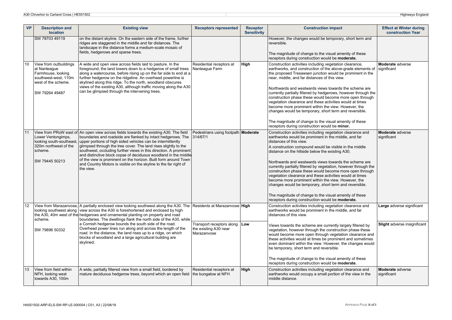| <b>VP</b>        | <b>Description and</b><br><b>location</b>                                                                                     | <b>Existing view</b>                                                                                                                                                                                                                                                                                                                                                                                                                                                                                                                                                                | <b>Receptors represented</b>                                            | <b>Receptor</b><br><b>Sensitivity</b> | <b>Construction impact</b>                                                                                                                                                                                                                                                                                                                                                                                                                                                                                                                                                                                                                                                                                                                    | <b>Effect at Winter during</b><br>construction Year |
|------------------|-------------------------------------------------------------------------------------------------------------------------------|-------------------------------------------------------------------------------------------------------------------------------------------------------------------------------------------------------------------------------------------------------------------------------------------------------------------------------------------------------------------------------------------------------------------------------------------------------------------------------------------------------------------------------------------------------------------------------------|-------------------------------------------------------------------------|---------------------------------------|-----------------------------------------------------------------------------------------------------------------------------------------------------------------------------------------------------------------------------------------------------------------------------------------------------------------------------------------------------------------------------------------------------------------------------------------------------------------------------------------------------------------------------------------------------------------------------------------------------------------------------------------------------------------------------------------------------------------------------------------------|-----------------------------------------------------|
|                  | SW 78703 49119                                                                                                                | on the distant skyline. On the eastern side of the frame, further<br>ridges are staggered in the middle and far distances. The<br>landscape in the distance forms a medium-scale mosaic of<br>fields, hedgerows and sparse trees.                                                                                                                                                                                                                                                                                                                                                   |                                                                         |                                       | However, the changes would be temporary, short term and<br>reversible.<br>The magnitude of change to the visual amenity of these                                                                                                                                                                                                                                                                                                                                                                                                                                                                                                                                                                                                              |                                                     |
|                  |                                                                                                                               |                                                                                                                                                                                                                                                                                                                                                                                                                                                                                                                                                                                     |                                                                         |                                       | receptors during construction would be moderate.                                                                                                                                                                                                                                                                                                                                                                                                                                                                                                                                                                                                                                                                                              |                                                     |
| 10 <sup>10</sup> | View from outbuildings<br>at Nanteague<br>Farmhouse, looking<br>southwest-west, 110m<br>west of the scheme.<br>SW 79264 49487 | A wide and open view across fields laid to pasture. In the<br>foreground, the land lowers down to a hedgerow of small trees<br>along a watercourse, before rising up on the far side to end at a<br>further hedgerow on the ridgeline. An overhead powerline is<br>skylined along this ridge. To the north, woodland obscures<br>views of the existing A30, although traffic moving along the A30<br>can be glimpsed through the intervening trees.                                                                                                                                 | Residential receptors at<br>Nanteague Farm                              | High                                  | Construction activities including vegetation clearance,<br>earthworks, and construction of the above-grade elements of<br>the proposed Tresawsen junction would be prominent in the<br>near, middle, and far distances of this view.<br>Northwards and westwards views towards the scheme are<br>currently partially filtered by hedgerows, however through the<br>construction phase these would become more open through<br>vegetation clearance and these activities would at times<br>become more prominent within the view. However, the<br>changes would be temporary, short term and reversible.<br>The magnitude of change to the visual amenity of these<br>receptors during construction would be minor.                            | Moderate adverse<br>significant                     |
| 11               | Lower Ventongimps,<br>looking south-southeast,<br>320m northwest of the<br>scheme.<br>SW 79445 50213                          | View from PRoW east of An open view across fields towards the existing A30. The field<br>boundaries and roadside are flanked by intact hedgerows. The<br>upper portions of high sided vehicles can be intermittently<br>glimpsed through the tree cover. The land rises slightly to the<br>southwest, occluding further views in this direction. A prominent<br>and distinctive block copse of deciduous woodland in the middle<br>of the view is prominent on the horizon. Built form around Town<br>and Country Motors is visible on the skyline to the far right of<br>the view. | Pedestrians using footpath Moderate<br>314/67/1                         |                                       | Construction activities including vegetation clearance and<br>earthworks would be prominent in the middle, and far<br>distances of this view.<br>A construction compound would be visible in the middle<br>distance on the hillside below the existing A30.<br>Northwards and westwards views towards the scheme are<br>currently partially filtered by vegetation, however through the<br>construction phase these would become more open through<br>vegetation clearance and these activities would at times<br>become more prominent within the view. However, the<br>changes would be temporary, short term and reversible.<br>The magnitude of change to the visual amenity of these<br>receptors during construction would be moderate. | Moderate adverse<br>significant                     |
| 12 <sup>2</sup>  | scheme.                                                                                                                       | View from Marazanvose. A partially enclosed view looking southwest along the A30. The Residents at Marazanvose High<br>looking southwest along view across the A30 is foreshortened and enclosed by high<br>the A30, 40m west of the hedgerows and ornamental planting on property and road<br>boundaries. The dwellings flank the north side of the A30, while                                                                                                                                                                                                                     |                                                                         |                                       | Construction activities including vegetation clearance and<br>earthworks would be prominent in the middle, and far<br>distances of this view.                                                                                                                                                                                                                                                                                                                                                                                                                                                                                                                                                                                                 | Large adverse significant                           |
|                  | SW 79896 50332                                                                                                                | a Cornish hedgerow bounds the south side of the road.<br>Overhead power lines run along and across the length of the<br>road. In the distance, the land rises up to a ridge, on which<br>blocks of woodland and a large agricultural building are<br>skylined.                                                                                                                                                                                                                                                                                                                      | Transport receptors along   Low<br>the existing A30 near<br>Marazanvose |                                       | Views towards the scheme are currently largely filtered by<br>vegetation, however through the construction phase these<br>would become more open through vegetation clearance and<br>these activities would at times be prominent and sometimes<br>even dominant within the view. However, the changes would<br>be temporary, short term and reversible.<br>The magnitude of change to the visual amenity of these<br>receptors during construction would be moderate.                                                                                                                                                                                                                                                                        | <b>Slight</b> adverse insignificant                 |
| 13               | View from field within<br>NFH, looking west<br>towards A30, 100m                                                              | A wide, partially filtered view from a small field, bordered by<br>mature deciduous hedgerow trees, beyond which an open field the bungalow at NFH                                                                                                                                                                                                                                                                                                                                                                                                                                  | Residential receptors at                                                | High                                  | Construction activities including vegetation clearance and<br>earthworks would occupy a small portion of the view in the<br>middle distance.                                                                                                                                                                                                                                                                                                                                                                                                                                                                                                                                                                                                  | Moderate adverse<br>significant                     |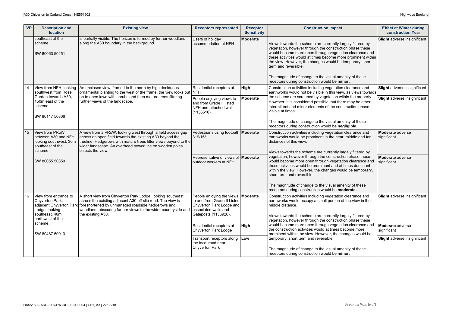|    | <b>VP</b><br><b>Description and</b><br><b>location</b>                                                  | <b>Existing view</b>                                                                                                                                                                                                                                                        | <b>Receptors represented</b>                                                                                          | <b>Receptor</b><br><b>Sensitivity</b> | <b>Construction impact</b>                                                                                                                                                                                                                                                                                                                                                                                                                       | <b>Effect at Winter during</b><br><b>construction Year</b>   |
|----|---------------------------------------------------------------------------------------------------------|-----------------------------------------------------------------------------------------------------------------------------------------------------------------------------------------------------------------------------------------------------------------------------|-----------------------------------------------------------------------------------------------------------------------|---------------------------------------|--------------------------------------------------------------------------------------------------------------------------------------------------------------------------------------------------------------------------------------------------------------------------------------------------------------------------------------------------------------------------------------------------------------------------------------------------|--------------------------------------------------------------|
|    | southeast of the<br>scheme.<br>SW 80063 50251                                                           | is partially visible. The horizon is formed by further woodland<br>along the A30 boundary in the background.                                                                                                                                                                | Users of holiday<br>accommodation at NFH                                                                              | <b>Moderate</b>                       | Views towards the scheme are currently largely filtered by<br>vegetation, however through the construction phase these<br>would become more open through vegetation clearance and<br>these activities would at times become more prominent within<br>the view. However, the changes would be temporary, short<br>term and reversible.<br>The magnitude of change to the visual amenity of these<br>receptors during construction would be minor. | Slight adverse insignificant                                 |
|    | View from NFH, looking<br>southwest from Rose<br>Garden towards A30.<br>150m east of the                | An enclosed view, framed to the north by high deciduous<br>ornamental planting to the west of the frame, the view looks out NFH<br>on to open lawn with shrubs and then mature trees filtering<br>further views of the landscape.                                           | Residential receptors at<br>People enjoying views to<br>and from Grade II listed                                      | High<br>Moderate                      | Construction activities including vegetation clearance and<br>earthworks would not be visible in this view, as views towards<br>the scheme are screened by vegetation within the property.<br>However, it is considered possible that there may be other                                                                                                                                                                                         | Slight adverse insignificant<br>Slight adverse insignificant |
|    | scheme.<br>SW 80117 50306                                                                               |                                                                                                                                                                                                                                                                             | NFH and attached wall<br>(1136610).                                                                                   |                                       | intermittent and minor elements of the construction phase<br>visible at times.<br>The magnitude of change to the visual amenity of these<br>receptors during construction would be negligible.                                                                                                                                                                                                                                                   |                                                              |
| 15 | View from PRoW<br>between A30 and NFH.<br>looking southwest, 30m<br>southeast of the<br>scheme.         | A view from a PRoW, looking west through a field access gap<br>across an open field towards the existing A30 beyond the<br>treeline. Hedgerows with mature trees filter views beyond to the<br>wider landscape. An overhead power line on wooden poles<br>bisects the view. | Pedestrians using footpath Moderate<br>319/16/1                                                                       |                                       | Construction activities including vegetation clearance and<br>earthworks would be prominent in the near, middle and far<br>distances of this view.<br>Views towards the scheme are currently largely filtered by                                                                                                                                                                                                                                 | Moderate adverse<br>significant                              |
|    | SW 80055 50350                                                                                          |                                                                                                                                                                                                                                                                             | Representative of views of <b>Moderate</b><br>outdoor workers at NFH.                                                 |                                       | vegetation, however through the construction phase these<br>would become more open through vegetation clearance and<br>these activities would be prominent and at times dominant<br>within the view. However, the changes would be temporary,<br>short term and reversible.                                                                                                                                                                      | Moderate adverse<br>significant                              |
|    |                                                                                                         |                                                                                                                                                                                                                                                                             |                                                                                                                       |                                       | The magnitude of change to the visual amenity of these<br>receptors during construction would be moderate.                                                                                                                                                                                                                                                                                                                                       |                                                              |
| 16 | View from entrance to<br>Chyverton Park,<br>adjacent Chyverton Park<br>Lodge, looking<br>southeast, 40m | A short view from Chyverton Park Lodge, looking southeast<br>across the existing adjacent A30 off slip road. The view is<br>foreshortened by unmanaged roadside hedgerows and<br>woodland, obscuring further views to the wider countryside and                             | People enjoying the views Moderate<br>to and from Grade II Listed<br>Chyverton Park Lodge and<br>associated walls and |                                       | Construction activities including vegetation clearance and<br>earthworks would occupy a small portion of the view in the<br>middle distance.                                                                                                                                                                                                                                                                                                     | <b>Slight</b> adverse insignificant                          |
|    | northwest of the<br>scheme.                                                                             | the existing A30.                                                                                                                                                                                                                                                           | Gateposts (1136926).                                                                                                  |                                       | Views towards the scheme are currently largely filtered by<br>vegetation, however through the construction phase these                                                                                                                                                                                                                                                                                                                           |                                                              |
|    | SW 80487 50913                                                                                          |                                                                                                                                                                                                                                                                             | Residential receptors at<br>Chyverton Park Lodge                                                                      | High                                  | would become more open through vegetation clearance and<br>the construction activities would at times become more<br>prominent within the view. However, the changes would be                                                                                                                                                                                                                                                                    | Moderate adverse<br>significant                              |
|    |                                                                                                         |                                                                                                                                                                                                                                                                             | Transport receptors along Low<br>the local road near                                                                  |                                       | temporary, short term and reversible.                                                                                                                                                                                                                                                                                                                                                                                                            | <b>Slight</b> adverse insignificant                          |
|    |                                                                                                         |                                                                                                                                                                                                                                                                             | Chyverton Park                                                                                                        |                                       | The magnitude of change to the visual amenity of these<br>receptors during construction would be minor.                                                                                                                                                                                                                                                                                                                                          |                                                              |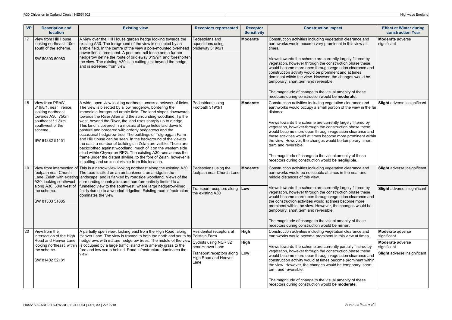| <b>VP</b> | <b>Description and</b><br><b>location</b>                                                                                                                                                                           | <b>Existing view</b>                                                                                                                                                                                                                                                                                                                                                                                                                                                                                                                                                                                                                                                                                                                                                                                                                                                                                            | <b>Receptors represented</b>                              | <b>Receptor</b><br><b>Sensitivity</b>                                                                                                                                                                                                                                                                                                                                                                                                                       | <b>Construction impact</b>                                                                                                                                                                                                                                                                                                                                                                                                                                                                                                                                                                         | <b>Effect at Winter during</b><br>construction Year |
|-----------|---------------------------------------------------------------------------------------------------------------------------------------------------------------------------------------------------------------------|-----------------------------------------------------------------------------------------------------------------------------------------------------------------------------------------------------------------------------------------------------------------------------------------------------------------------------------------------------------------------------------------------------------------------------------------------------------------------------------------------------------------------------------------------------------------------------------------------------------------------------------------------------------------------------------------------------------------------------------------------------------------------------------------------------------------------------------------------------------------------------------------------------------------|-----------------------------------------------------------|-------------------------------------------------------------------------------------------------------------------------------------------------------------------------------------------------------------------------------------------------------------------------------------------------------------------------------------------------------------------------------------------------------------------------------------------------------------|----------------------------------------------------------------------------------------------------------------------------------------------------------------------------------------------------------------------------------------------------------------------------------------------------------------------------------------------------------------------------------------------------------------------------------------------------------------------------------------------------------------------------------------------------------------------------------------------------|-----------------------------------------------------|
| 17        | View from Hill House<br>looking northeast, 10m<br>south of the scheme.<br>SW 80803 50983                                                                                                                            | A view over the Hill House garden hedge looking towards the<br>existing A30. The foreground of the view is occupied by an<br>arable field. In the centre of the view a pole-mounted overhead<br>power line is prominent. A post-and-rail fence and a further<br>hedgerow define the route of bridleway 319/9/1 and foreshorten<br>the view. The existing A30 is in cutting just beyond the hedge<br>and is screened from view.                                                                                                                                                                                                                                                                                                                                                                                                                                                                                  | Pedestrians and<br>equestrians using<br>bridleway 319/9/1 | Moderate                                                                                                                                                                                                                                                                                                                                                                                                                                                    | Construction activities including vegetation clearance and<br>earthworks would become very prominent in this view at<br>times.<br>Views towards the scheme are currently largely filtered by<br>vegetation, however through the construction phase these<br>would become more open through vegetation clearance and<br>construction activity would be prominent and at times<br>dominant within the view. However, the changes would be<br>temporary, short term and reversible.<br>The magnitude of change to the visual amenity of these<br>receptors during construction would be moderate.     | Moderate adverse<br>significant                     |
| 18        | View from PRoW<br>319/8/1, near Trerice,<br>looking northeast<br>towards A30, 750m<br>southeast / 1.3km<br>southwest of the<br>scheme.<br>SW 81882 51451                                                            | A wide, open view looking northeast across a network of fields.<br>The view is bisected by a low hedgerow, bordering the<br>immediate foreground arable field. The land slopes downwards<br>towards the River Allen and the surrounding woodland. To the<br>west, beyond the River, the land rises sharply up to a ridge.<br>This land is covered in a mosaic of large fields laid down to<br>pasture and bordered with orderly hedgerows and the<br>occasional hedgerow tree. The buildings of Tolgroggan Farm<br>and Hill House can be seen. In the background of the view to<br>the east, a number of buildings in Zelah are visible. These are<br>backclothed against woodland, much of it on the western side<br>sited within Chyverton RPG. The existing A30 runs across the<br>frame under the distant skyline, to the fore of Zelah, however is<br>in cutting and so is not visible from this location. | Pedestrians using<br>Footpath 319/3/1                     | <b>Moderate</b>                                                                                                                                                                                                                                                                                                                                                                                                                                             | Construction activities including vegetation clearance and<br>earthworks would occupy a small portion of the view in the far<br>distance.<br>Views towards the scheme are currently largely filtered by<br>vegetation, however through the construction phase these<br>would become more open through vegetation clearance and<br>these activities would at times become more prominent within<br>the view. However, the changes would be temporary, short<br>term and reversible.<br>The magnitude of change to the visual amenity of these<br>receptors during construction would be negligible. | <b>Slight</b> adverse insignificant                 |
| 19        | footpath near Church<br>A30, looking southwest                                                                                                                                                                      | View from intersection of This is a narrow view looking northeast along the existing A30.<br>The road is sited on an embankment, on a ridge in the<br>Lane, Zelah with existing landscape, and is flanked by roadside woodland. Views of the<br>surrounding countryside are therefore entirely limited to a                                                                                                                                                                                                                                                                                                                                                                                                                                                                                                                                                                                                     | Pedestrians using the<br>footpath near Church Lane        | Moderate                                                                                                                                                                                                                                                                                                                                                                                                                                                    | Construction activities including vegetation clearance and<br>earthworks would be noticeable at times in the near and<br>middle distances of this view.                                                                                                                                                                                                                                                                                                                                                                                                                                            | Slight adverse insignificant                        |
|           | along A30, 30m west of<br>funnelled view to the southwest, where large hedgerow-lined<br>the scheme.<br>fields rise up to a wooded ridgeline. Existing road infrastructure<br>dominates the view.<br>SW 81303 51885 | Transport receptors along<br>the existing A30                                                                                                                                                                                                                                                                                                                                                                                                                                                                                                                                                                                                                                                                                                                                                                                                                                                                   | Low                                                       | Views towards the scheme are currently largely filtered by<br>vegetation, however through the construction phase these<br>would become more open through vegetation clearance and<br>the construction activities would at times become more<br>prominent within the view. However, the changes would be<br>temporary, short term and reversible.<br>The magnitude of change to the visual amenity of these<br>receptors during construction would be minor. | Slight adverse insignificant                                                                                                                                                                                                                                                                                                                                                                                                                                                                                                                                                                       |                                                     |
| 20        | View from the<br>intersection of the High                                                                                                                                                                           | A partially open view, looking east from the High Road, along<br>Henver Lane. The view is framed to both the north and south by Polstain Farm                                                                                                                                                                                                                                                                                                                                                                                                                                                                                                                                                                                                                                                                                                                                                                   | Residential receptors at                                  | High                                                                                                                                                                                                                                                                                                                                                                                                                                                        | Construction activities including vegetation clearance and<br>earthworks would become prominent in this view at times.                                                                                                                                                                                                                                                                                                                                                                                                                                                                             | Moderate adverse<br>significant                     |
|           | Road and Henver Lane,<br>looking northeast, within                                                                                                                                                                  | hedgerows with mature hedgerow trees. The middle of the view<br>is occupied by a large traffic island with amenity grass to the                                                                                                                                                                                                                                                                                                                                                                                                                                                                                                                                                                                                                                                                                                                                                                                 | Cyclists using NCR 32<br>near Henver Lane                 | High                                                                                                                                                                                                                                                                                                                                                                                                                                                        | Views towards the scheme are currently partially filtered by                                                                                                                                                                                                                                                                                                                                                                                                                                                                                                                                       | Moderate adverse<br>significant                     |
|           | the scheme.<br>SW 81402 52181                                                                                                                                                                                       | fore and low scrub behind. Road infrastructure dominates the<br>view.                                                                                                                                                                                                                                                                                                                                                                                                                                                                                                                                                                                                                                                                                                                                                                                                                                           | Transport receptors along<br>High Road and Henver<br>Lane | Low                                                                                                                                                                                                                                                                                                                                                                                                                                                         | vegetation, however through the construction phase these<br>would become more open through vegetation clearance and<br>construction activity would at times become prominent within<br>the view. However, the changes would be temporary, short<br>term and reversible.                                                                                                                                                                                                                                                                                                                            | Slight adverse insignificant                        |
|           |                                                                                                                                                                                                                     |                                                                                                                                                                                                                                                                                                                                                                                                                                                                                                                                                                                                                                                                                                                                                                                                                                                                                                                 |                                                           |                                                                                                                                                                                                                                                                                                                                                                                                                                                             | The magnitude of change to the visual amenity of these<br>receptors during construction would be moderate.                                                                                                                                                                                                                                                                                                                                                                                                                                                                                         |                                                     |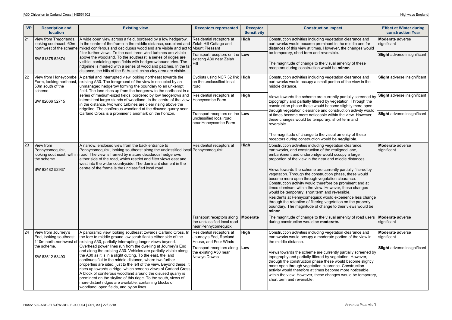| <b>VP</b> | <b>Description and</b><br><b>location</b>                                       | <b>Existing view</b>                                                                                                                                                                                                                                                                                                                                                                                                                                                                                                                                                                                                                         | <b>Receptors represented</b>                                                                                       | <b>Receptor</b><br><b>Sensitivity</b>                                                              | <b>Construction impact</b>                                                                                                                                                                                                                                                                                                                                                                               | <b>Effect at Winter during</b><br><b>construction Year</b> |
|-----------|---------------------------------------------------------------------------------|----------------------------------------------------------------------------------------------------------------------------------------------------------------------------------------------------------------------------------------------------------------------------------------------------------------------------------------------------------------------------------------------------------------------------------------------------------------------------------------------------------------------------------------------------------------------------------------------------------------------------------------------|--------------------------------------------------------------------------------------------------------------------|----------------------------------------------------------------------------------------------------|----------------------------------------------------------------------------------------------------------------------------------------------------------------------------------------------------------------------------------------------------------------------------------------------------------------------------------------------------------------------------------------------------------|------------------------------------------------------------|
| 21        | View from Tregorlands,<br>looking southeast, 60m<br>northwest of the scheme     | A wide open view across a field, bordered by a low hedgerow.<br>In the centre of the frame in the middle distance, scrubland and<br>mixed coniferous and deciduous woodland are visible and act to Mount Pleasant<br>filter further views. To the east three wind turbines are visible<br>above the woodland. To the southeast, a series of ridges are<br>visible, containing open fields with hedgerow boundaries. The<br>ridgeline is marked with a series of woodland patches. In the far<br>distance, the hills of the St Austell china clay area are visible.                                                                           | Residential receptors at<br>Zelah Hill Cottage and                                                                 | High                                                                                               | Construction activities including vegetation clearance and<br>earthworks would become prominent in the middle and far<br>distances of this view at times. However, the changes would                                                                                                                                                                                                                     | <b>Moderate</b> adverse<br>significant                     |
|           | SW 81875 52674                                                                  |                                                                                                                                                                                                                                                                                                                                                                                                                                                                                                                                                                                                                                              | Transport receptors on the Low<br>existing A30 near Zelah<br>Hill<br>receptors during construction would be minor. | be temporary, short term and reversible.<br>The magnitude of change to the visual amenity of these | Slight adverse insignificant                                                                                                                                                                                                                                                                                                                                                                             |                                                            |
| 22        | View from Honeycombe<br>Farm, looking northeast,<br>50m south of the<br>scheme. | A partial and interrupted view looking northeast towards the<br>existing A30. The foreground of the view is occupied by an<br>unmanaged hedgerow forming the boundary to an unkempt<br>field. The land rises up from the hedgerow to the northeast in a<br>series of medium-sized fields, bordered by low hedgerows and<br>intermittent larger stands of woodland. In the centre of the view<br>in the distance, two wind turbines are clear rising above the<br>ridgeline. The coniferous woodland at the disused quarry near<br>Carland Cross is a prominent landmark on the horizon.                                                      | Cyclists using NCR 32 link   High<br>on the unclassified local<br>road                                             |                                                                                                    | Construction activities including vegetation clearance and<br>earthworks would occupy a small portion of the view in the<br>middle distance.                                                                                                                                                                                                                                                             | Slight adverse insignificant                               |
|           | SW 82666 52715                                                                  |                                                                                                                                                                                                                                                                                                                                                                                                                                                                                                                                                                                                                                              | Residential receptors at<br>Honeycombe Farm                                                                        | High                                                                                               | Views towards the scheme are currently partially screened by<br>topography and partially filtered by vegetation. Through the<br>construction phase these would become slightly more open<br>through vegetation clearance and construction activity would                                                                                                                                                 | Slight adverse insignificant                               |
|           |                                                                                 |                                                                                                                                                                                                                                                                                                                                                                                                                                                                                                                                                                                                                                              | Transport receptors on the Low<br>unclassified local road<br>near Honeycombe Farm                                  |                                                                                                    | at times become more noticeable within the view. However,<br>these changes would be temporary, short term and<br>reversible.                                                                                                                                                                                                                                                                             | Slight adverse insignificant                               |
|           |                                                                                 |                                                                                                                                                                                                                                                                                                                                                                                                                                                                                                                                                                                                                                              |                                                                                                                    |                                                                                                    | The magnitude of change to the visual amenity of these<br>receptors during construction would be negligible.                                                                                                                                                                                                                                                                                             |                                                            |
| 23        | View from<br>Pennycomequick,<br>looking southeast, within<br>the scheme.        | A narrow, enclosed view from the back entrance to<br>Pennycomequick, looking southeast along the unclassified local Pennycomequick<br>road. The view is framed by mature deciduous hedgerows<br>either side of the road, which restrict and filter views east and<br>west into the wider countryside. The dominant element in the<br>centre of the frame is the unclassified local road.                                                                                                                                                                                                                                                     | Residential receptors at                                                                                           | High                                                                                               | Construction activities including vegetation clearance,<br>earthworks, and construction of the realigned lane,<br>embankment and underbridge would occupy a large<br>proportion of the view in the near and middle distances.                                                                                                                                                                            | Moderate adverse<br>significant                            |
|           | SW 82482 52937                                                                  |                                                                                                                                                                                                                                                                                                                                                                                                                                                                                                                                                                                                                                              |                                                                                                                    |                                                                                                    | Views towards the scheme are currently partially filtered by<br>vegetation. Through the construction phase, these would<br>become more open through vegetation clearance.<br>Construction activity would therefore be prominent and at<br>times dominant within the view. However, these changes<br>would be temporary, short term and reversible.                                                       |                                                            |
|           |                                                                                 |                                                                                                                                                                                                                                                                                                                                                                                                                                                                                                                                                                                                                                              |                                                                                                                    |                                                                                                    | Residents at Pennycomequick would experience less change<br>through the retention of filtering vegetation on the property<br>boundary. The magnitude of change to their views would be<br>minor                                                                                                                                                                                                          |                                                            |
|           |                                                                                 |                                                                                                                                                                                                                                                                                                                                                                                                                                                                                                                                                                                                                                              | Transport receptors along<br>the unclassified local road<br>near Pennycomequick                                    | Moderate                                                                                           | The magnitude of change to the visual amenity of road users<br>during construction would be moderate.                                                                                                                                                                                                                                                                                                    | <b>Moderate</b> adverse<br>significant                     |
| 24        | View from Journey's<br>End, looking southeast,<br>110m north-northwest of       | A panoramic view looking southeast towards Carland Cross. In<br>the fore to middle ground low scrub flanks either side of the<br>existing A30, partially interrupting longer views beyond.                                                                                                                                                                                                                                                                                                                                                                                                                                                   | Residential receptors at<br>Journey's End, Racland<br>House, and Four Winds                                        | High                                                                                               | Construction activities including vegetation clearance and<br>earthworks would occupy a moderate portion of the view in<br>the middle distance.                                                                                                                                                                                                                                                          | <b>Moderate</b> adverse<br>significant                     |
|           | the scheme.<br>SW 83512 53493                                                   | Overhead power lines run from the dwelling at Journey's End<br>and along the existing A30. Vehicles are partially visible along<br>the A30 as it is in a slight cutting. To the east, the land<br>continues flat to the middle distance, where two further<br>properties are sited, just to the left of the view. Beyond these, it<br>rises up towards a ridge, which screens views of Carland Cross.<br>A block of coniferous woodland around the disused quarry is<br>prominent on the skyline of this ridge. To the south, views of<br>more distant ridges are available, containing blocks of<br>woodland, open fields, and pylon lines. | Transport receptors along<br>the existing A30 near<br>Newlyn Downs                                                 | Low                                                                                                | Views towards the scheme are currently partially screened by<br>topography and partially filtered by vegetation. However,<br>through the construction phase these would become slightly<br>more open through vegetation clearance. Construction<br>activity would therefore at times become more noticeable<br>within the view. However, these changes would be temporary,<br>short term and reversible. | Slight adverse insignificant                               |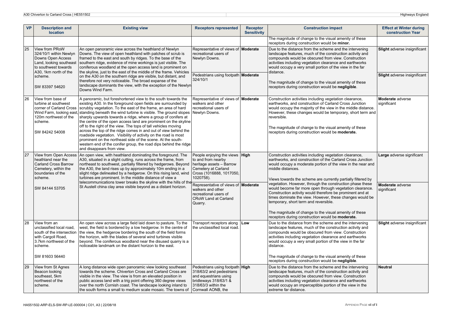| <b>VP</b> | <b>Description and</b><br><b>location</b>                                                                                                             | <b>Existing view</b>                                                                                                                                                                                                                                                                                                                                                                                                                                                                                                                                                                                                                                                                                                                                                          | <b>Receptors represented</b>                                                                                                                               | <b>Receptor</b><br><b>Sensitivity</b> | <b>Construction impact</b>                                                                                                                                                                                                                                                                                                                                                                                                                                                                                                                                                                                                                                                         | <b>Effect at Winter during</b><br>construction Year |
|-----------|-------------------------------------------------------------------------------------------------------------------------------------------------------|-------------------------------------------------------------------------------------------------------------------------------------------------------------------------------------------------------------------------------------------------------------------------------------------------------------------------------------------------------------------------------------------------------------------------------------------------------------------------------------------------------------------------------------------------------------------------------------------------------------------------------------------------------------------------------------------------------------------------------------------------------------------------------|------------------------------------------------------------------------------------------------------------------------------------------------------------|---------------------------------------|------------------------------------------------------------------------------------------------------------------------------------------------------------------------------------------------------------------------------------------------------------------------------------------------------------------------------------------------------------------------------------------------------------------------------------------------------------------------------------------------------------------------------------------------------------------------------------------------------------------------------------------------------------------------------------|-----------------------------------------------------|
|           |                                                                                                                                                       |                                                                                                                                                                                                                                                                                                                                                                                                                                                                                                                                                                                                                                                                                                                                                                               |                                                                                                                                                            |                                       | The magnitude of change to the visual amenity of these<br>receptors during construction would be minor.                                                                                                                                                                                                                                                                                                                                                                                                                                                                                                                                                                            |                                                     |
| 25        | View from PRoW<br>324/10/1 within Newlyn<br>Downs Open Access<br>Land, looking southeast<br>to southwest towards                                      | An open panoramic view across the heathland of Newlyn<br>Downs. The view of open heathland with patches of scrub is<br>framed to the east and south by ridges. To the base of the<br>southern ridge, evidence of mine workings is just visible. The<br>coniferous woodland at the open access land is prominent on                                                                                                                                                                                                                                                                                                                                                                                                                                                            | Representative of views of <b>Moderate</b><br>recreational users of<br>Newlyn Downs.                                                                       |                                       | Due to the distance from the scheme and the intervening<br>landscape features, much of the construction activity and<br>compounds would be obscured from view. Construction<br>activities including vegetation clearance and earthworks<br>would occupy a very small portion of the view in the far                                                                                                                                                                                                                                                                                                                                                                                | <b>Slight</b> adverse insignificant                 |
|           | A30, 1km north of the<br>scheme.<br>SW 83397 54620                                                                                                    | the skyline, just to the east of the middle of the frame. Vehicles<br>on the A30 on the southern ridge are visible, but distant, and<br>therefore not very noticeable. The broad expanse of the<br>landscape dominants the view, with the exception of the Newlyn<br>Downs Wind Farm.                                                                                                                                                                                                                                                                                                                                                                                                                                                                                         | Pedestrians using footpath Moderate<br>324/10/1                                                                                                            |                                       | distance.<br>The magnitude of change to the visual amenity of these<br>receptors during construction would be negligible.                                                                                                                                                                                                                                                                                                                                                                                                                                                                                                                                                          | <b>Slight</b> adverse insignificant                 |
| 26        | View from base of<br>turbine at southwest<br>corner of Carland Cross<br>Wind Farm, looking east<br>120m northwest of the<br>scheme.<br>SW 84242 54008 | A panoramic, but foreshortened view to the south towards the<br>existing A30. In the foreground open fields are surrounded by<br>scrubby vegetation. To the east of the frame, an area of hard<br>standing beneath the wind turbine is visible. The ground slopes<br>sharply upwards towards a ridge, where a group of conifers at<br>the centre of the open access land are prominent on the skyline<br>off to the right of the view. The tops of tall vehicles moving<br>across the top of the ridge comes in and out of view behind the<br>roadside vegetation. Visibility of activity on the road is most<br>prominent on the northeast side of the scene. At the south-<br>western end of the conifer group, the road dips behind the ridge<br>and disappears from view. | Representative of views of <b>Moderate</b><br>walkers and other<br>recreational users of<br>Newlyn Downs.                                                  |                                       | Construction activities including vegetation clearance,<br>earthworks, and construction of Carland Cross Junction<br>would occupy the majority of the view in the middle distance.<br>However, these changes would be temporary, short term and<br>reversible.<br>The magnitude of change to the visual amenity of these<br>receptors during construction would be moderate.                                                                                                                                                                                                                                                                                                       | Moderate adverse<br>significant                     |
| 27        | View from Open Access<br>heathland near the<br><b>Carland Cross Barrow</b><br>Cemetery, within the<br>boundaries of the<br>scheme.                    | An open view, with heathland dominating the foreground. The<br>A30, situated in a slight cutting, runs across the frame, from<br>northeast to southwest, partially filtered by hedgerows. Beyond<br>the A30, the land rises up by approximately 10m ending in a<br>slight ridge delineated by a hedgerow. On this rising land, wind<br>turbines are prominent. In the middle distance of view a<br>telecommunications tower breaks the skyline with the hills of the                                                                                                                                                                                                                                                                                                          | People enjoying the views <b>High</b><br>to and from nearby<br>heritage assets - Barrow<br>Cemetery at Carland<br>Cross (1016888, 1017050,<br>1020758).    |                                       | Construction activities including vegetation clearance,<br>earthworks, and construction of the Carland Cross Junction<br>would occupy a moderate portion of the view in the near and<br>middle distances.<br>Views towards the scheme are currently partially filtered by<br>vegetation. However, through the construction phase these<br>would become far more open through vegetation clearance.<br>Construction activity would therefore be prominent and at<br>times dominate the view. However, these changes would be<br>temporary, short term and reversible.<br>The magnitude of change to the visual amenity of these<br>receptors during construction would be moderate. | Large adverse significant                           |
|           | SW 84144 53705                                                                                                                                        | St Austell china clay area visible beyond as a distant horizon.                                                                                                                                                                                                                                                                                                                                                                                                                                                                                                                                                                                                                                                                                                               | Representative of views of <b>Moderate</b><br>walkers and other<br>recreational users of<br><b>CRoW Land at Carland</b><br>Quarry.                         |                                       |                                                                                                                                                                                                                                                                                                                                                                                                                                                                                                                                                                                                                                                                                    | Moderate adverse<br>significant                     |
| 28        | View from an<br>unclassified local road,<br>south of the intersection<br>with Cargoll Road,<br>3.7km northwest of the<br>scheme.<br>SW 81603 56440    | An open view across a large field laid down to pasture. To the<br>west, the field is bordered by a low hedgerow. In the centre of<br>the view, the hedgerow bordering the south of the field forms<br>the horizon, with the blades of several wind turbines visible<br>beyond. The coniferous woodland near the disused quarry is a<br>noticeable landmark on the distant horizon to the east.                                                                                                                                                                                                                                                                                                                                                                                | Transport receptors along<br>the unclassified local road.                                                                                                  | Low                                   | Due to the distance from the scheme and the intervening<br>landscape features, much of the construction activity and<br>compounds would be obscured from view. Construction<br>activities including vegetation clearance and earthworks<br>would occupy a very small portion of the view in the far<br>distance.<br>The magnitude of change to the visual amenity of these<br>receptors during construction would be negligible.                                                                                                                                                                                                                                                   | <b>Slight</b> adverse insignificant                 |
| 29        | View from St Agnes<br>Beacon looking<br>southeast, 5km<br>northwest of the<br>scheme.                                                                 | A long distance wide open panoramic view looking southeast<br>towards the scheme. Chiverton Cross and Carland Cross are<br>visible in the view. The view is from an elevated position in<br>public access land with a trig point offering 360 degree views<br>over the north Cornish coast. The landscape looking inland to<br>the south forms a small to medium scale mosaic. The towns of                                                                                                                                                                                                                                                                                                                                                                                   | Pedestrians using footpath High<br>318/63/2 and pedestrians<br>and equestrians using<br>bridleways 318/63/1 &<br>318/63/3 within the<br>Cornwall AONB, the |                                       | Due to the distance from the scheme and the intervening<br>landscape features, much of the construction activity and<br>compounds would be obscured from view. Construction<br>activities including vegetation clearance and earthworks<br>would occupy an imperceptible portion of the view in the<br>extreme far distance.                                                                                                                                                                                                                                                                                                                                                       | <b>Neutral</b>                                      |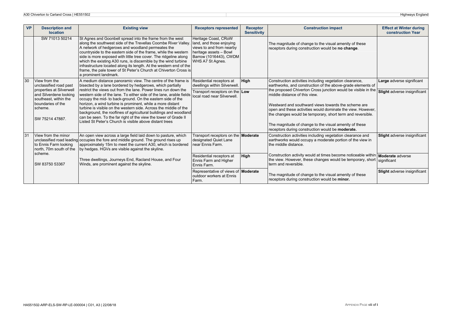| <b>VP</b> | <b>Description and</b><br><b>location</b>                                                                                      | <b>Existing view</b>                                                                                                                                                                                                                                                                                                                                                                                                                                                                                                                                          | <b>Receptors represented</b>                                                                                                                         | <b>Receptor</b><br><b>Sensitivity</b> | <b>Construction impact</b>                                                                                                                                                                                                                                                                                                                                                                       | <b>Effect at Winter during</b><br><b>construction Year</b> |
|-----------|--------------------------------------------------------------------------------------------------------------------------------|---------------------------------------------------------------------------------------------------------------------------------------------------------------------------------------------------------------------------------------------------------------------------------------------------------------------------------------------------------------------------------------------------------------------------------------------------------------------------------------------------------------------------------------------------------------|------------------------------------------------------------------------------------------------------------------------------------------------------|---------------------------------------|--------------------------------------------------------------------------------------------------------------------------------------------------------------------------------------------------------------------------------------------------------------------------------------------------------------------------------------------------------------------------------------------------|------------------------------------------------------------|
|           | SW 71013 50214                                                                                                                 | St Agnes and Goonbell spread into the frame from the west<br>along the southwest side of the Trevellas Coombe River Valley.<br>A network of hedgerows and woodland permeates the<br>countryside to the eastern side of the frame, while the western<br>side is more exposed with little tree cover. The ridgeline along<br>which the existing A30 runs, is discernible by the wind turbine<br>infrastructure located along its length. At the western end of the<br>frame, the pale tower of St Peter's Church at Chiverton Cross is<br>a prominent landmark. | Heritage Coast, CRoW<br>land, and those enjoying<br>views to and from nearby<br>heritage assets - Bowl<br>Barrow (1016443), CWDM<br>WHS A7 St Agnes. |                                       | The magnitude of change to the visual amenity of these<br>receptors during construction would be no change.                                                                                                                                                                                                                                                                                      |                                                            |
| 30        | View from the<br>unclassified road past                                                                                        | A medium distance panoramic view. The centre of the frame is<br>bisected by a lane bordered by hedgerows, which partially                                                                                                                                                                                                                                                                                                                                                                                                                                     | Residential receptors at<br>dwellings within Silverwell.                                                                                             | High                                  | Construction activities including vegetation clearance,<br>earthworks, and construction of the above-grade elements of                                                                                                                                                                                                                                                                           | Large adverse significant                                  |
|           | properties at Silverwell<br>and Silverdene looking<br>southeast, within the<br>boundaries of the<br>scheme.<br>SW 75214 47887. | restrict the views out from the lane. Power lines run down the<br>western side of the lane. To either side of the lane, arable fields<br>occupy the mid- to back-ground. On the eastern side of the<br>horizon, a wind turbine is prominent, while a more distant<br>turbine is visible on the western side. Across the middle of the<br>background, the rooflines of agricultural buildings and woodland<br>can be seen. To the far right of the view the tower of Grade II<br>Listed St Peter's Church is visible above distant trees                       | Transport receptors on the Low<br>local road near Silverwell.                                                                                        |                                       | the proposed Chiverton Cross junction would be visible in the<br>middle distance of this view.<br>Westward and southward views towards the scheme are<br>open and these activities would dominate the view. However,<br>the changes would be temporary, short term and reversible.<br>The magnitude of change to the visual amenity of these<br>receptors during construction would be moderate. | Slight adverse insignificant                               |
| 31        | View from the minor<br>unclassified road leading<br>to Ennis Farm looking<br>north, 70m south of the                           | An open view across a large field laid down to pasture, which<br>occupies the fore and middle ground. The ground rises up<br>approximately 15m to meet the current A30, which is bordered<br>by hedges. HGVs are visible against the skyline.                                                                                                                                                                                                                                                                                                                 | Transport receptors on the <b>Moderate</b><br>designated Quiet Lane<br>near Ennis Farm.                                                              |                                       | Construction activities including vegetation clearance and<br>earthworks would occupy a moderate portion of the view in<br>the middle distance.                                                                                                                                                                                                                                                  | Slight adverse insignificant                               |
|           | scheme.<br>SW 83750 53367                                                                                                      | Three dwellings, Journeys End, Racland House, and Four<br>Winds, are prominent against the skyline.                                                                                                                                                                                                                                                                                                                                                                                                                                                           | Residential receptors at<br>Ennis Farm and Higher<br>Ennis Farm.                                                                                     | <b>High</b>                           | Construction activity would at times become noticeable within Moderate adverse<br>the view. However, these changes would be temporary, short<br>term and reversible.                                                                                                                                                                                                                             | significant                                                |
|           |                                                                                                                                |                                                                                                                                                                                                                                                                                                                                                                                                                                                                                                                                                               | Representative of views of Moderate<br>outdoor workers at Ennis<br>Farm.                                                                             |                                       | The magnitude of change to the visual amenity of these<br>receptors during construction would be minor.                                                                                                                                                                                                                                                                                          | Slight adverse insignificant                               |